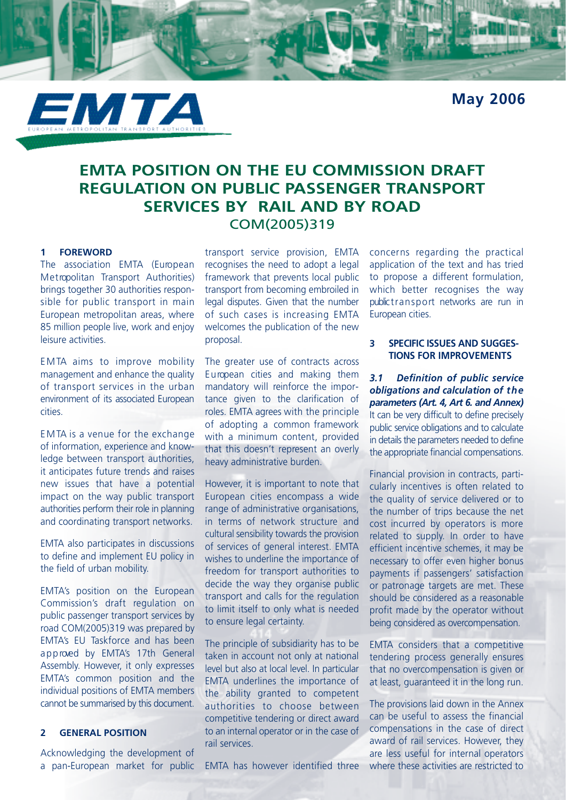**May 2006**



# **EMTA POSITION ON THE EU COMMISSION DRAFT REGULATION ON PUBLIC PASSENGER TRANSPORT SERVICES BY RAIL AND BY ROAD** COM(2005)319

## **1 FOREWORD**

The association EMTA (European Metropolitan Transport Authorities) brings together 30 authorities responsible for public transport in main European metropolitan areas, where 85 million people live, work and enjoy leisure activities.

EMTA aims to improve mobility management and enhance the quality of transport services in the urban environment of its associated European cities.

E M TA is a venue for the exchange of information, experience and knowledge between transport authorities, it anticipates future trends and raises new issues that have a potential impact on the way public transport authorities perform their role in planning and coordinating transport networks.

EMTA also participates in discussions to define and implement EU policy in the field of urban mobility.

EMTA's position on the European Commission's draft regulation on public passenger transport services by road COM(2005)319 was prepared by EMTA's EU Taskforce and has been approved by EMTA's 17th General Assembly. However, it only expresses EMTA's common position and the individual positions of EMTA members cannot be summarised by this document.

## **2 GENERAL POSITION**

Acknowledging the development of a pan-European market for public

transport service provision, EMTA recognises the need to adopt a legal framework that prevents local public transport from becoming embroiled in legal disputes. Given that the number of such cases is increasing EMTA welcomes the publication of the new proposal.

The greater use of contracts across E u ropean cities and making them mandatory will reinforce the importance given to the clarification of roles. EMTA agrees with the principle of adopting a common framework with a minimum content, provided that this doesn't represent an overly heavy administrative burden.

However, it is important to note that European cities encompass a wide range of administrative organisations, in terms of network structure and cultural sensibility towards the provision of services of general interest. EMTA wishes to underline the importance of freedom for transport authorities to decide the way they organise public transport and calls for the regulation to limit itself to only what is needed to ensure legal certainty.

The principle of subsidiarity has to be taken in account not only at national level but also at local level. In particular EMTA underlines the importance of the ability granted to competent authorities to choose between competitive tendering or direct award to an internal operator or in the case of rail services.

EMTA has however identified three

concerns regarding the practical application of the text and has tried to propose a different formulation, which better recognises the way public transport networks are run in European cities.

### **3 SPECIFIC ISSUES AND SUGGES-TIONS FOR IMPROVEMENTS**

*3.1 Definition of public service obligations and calculation of t h e parameters (Art. 4, Art 6. and Annex)* It can be very difficult to define precisely public service obligations and to calculate in details the parameters needed to define the appropriate financial compensations.

Financial provision in contracts, particularly incentives is often related to the quality of service delivered or to the number of trips because the net cost incurred by operators is more related to supply. In order to have efficient incentive schemes, it may be necessary to offer even higher bonus payments if passengers' satisfaction or patronage targets are met. These should be considered as a reasonable profit made by the operator without being considered as overcompensation.

EMTA considers that a competitive tendering process generally ensures that no overcompensation is given or at least, guaranteed it in the long run.

The provisions laid down in the Annex can be useful to assess the financial compensations in the case of direct award of rail services. However, they are less useful for internal operators where these activities are restricted to